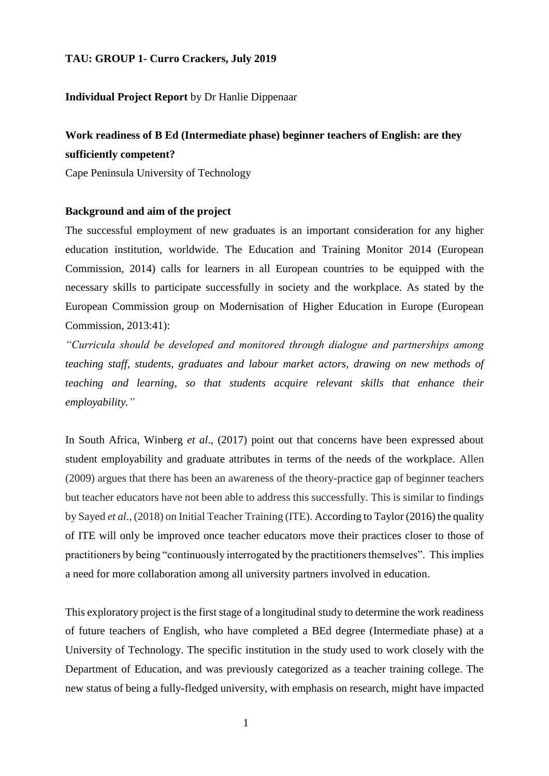# **TAU: GROUP 1- Curro Crackers, July 2019**

# **Individual Project Report** by Dr Hanlie Dippenaar

# **Work readiness of B Ed (Intermediate phase) beginner teachers of English: are they sufficiently competent?**

Cape Peninsula University of Technology

# **Background and aim of the project**

The successful employment of new graduates is an important consideration for any higher education institution, worldwide. The Education and Training Monitor 2014 (European Commission, 2014) calls for learners in all European countries to be equipped with the necessary skills to participate successfully in society and the workplace. As stated by the European Commission group on Modernisation of Higher Education in Europe (European Commission, 2013:41):

*"Curricula should be developed and monitored through dialogue and partnerships among teaching staff, students, graduates and labour market actors, drawing on new methods of teaching and learning, so that students acquire relevant skills that enhance their employability."*

In South Africa, Winberg *et al*., (2017) point out that concerns have been expressed about student employability and graduate attributes in terms of the needs of the workplace. Allen (2009) argues that there has been an awareness of the theory-practice gap of beginner teachers but teacher educators have not been able to address this successfully. This is similar to findings by Sayed *et al*., (2018) on Initial Teacher Training (ITE). According to Taylor (2016) the quality of ITE will only be improved once teacher educators move their practices closer to those of practitioners by being "continuously interrogated by the practitioners themselves". This implies a need for more collaboration among all university partners involved in education.

This exploratory project is the first stage of a longitudinal study to determine the work readiness of future teachers of English, who have completed a BEd degree (Intermediate phase) at a University of Technology. The specific institution in the study used to work closely with the Department of Education, and was previously categorized as a teacher training college. The new status of being a fully-fledged university, with emphasis on research, might have impacted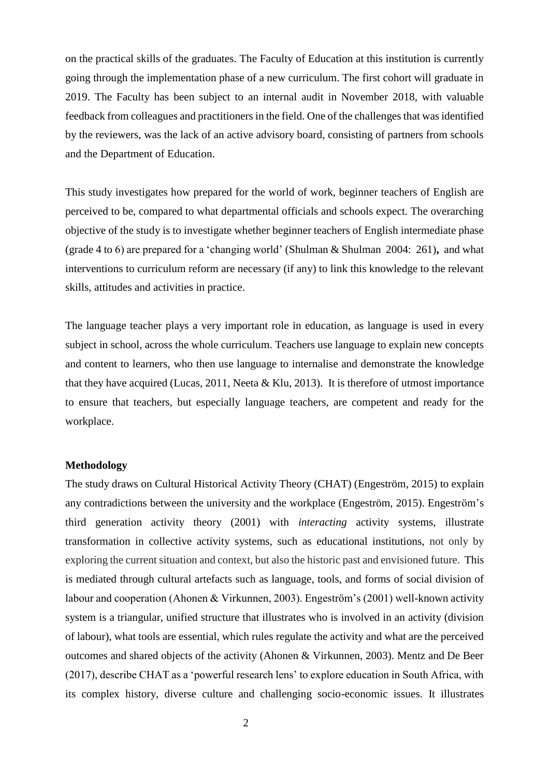on the practical skills of the graduates. The Faculty of Education at this institution is currently going through the implementation phase of a new curriculum. The first cohort will graduate in 2019. The Faculty has been subject to an internal audit in November 2018, with valuable feedback from colleagues and practitioners in the field. One of the challenges that was identified by the reviewers, was the lack of an active advisory board, consisting of partners from schools and the Department of Education.

This study investigates how prepared for the world of work, beginner teachers of English are perceived to be, compared to what departmental officials and schools expect. The overarching objective of the study is to investigate whether beginner teachers of English intermediate phase (grade 4 to 6) are prepared for a 'changing world' (Shulman & Shulman 2004: 261)**,** and what interventions to curriculum reform are necessary (if any) to link this knowledge to the relevant skills, attitudes and activities in practice.

The language teacher plays a very important role in education, as language is used in every subject in school, across the whole curriculum. Teachers use language to explain new concepts and content to learners, who then use language to internalise and demonstrate the knowledge that they have acquired (Lucas, 2011, Neeta & Klu, 2013). It is therefore of utmost importance to ensure that teachers, but especially language teachers, are competent and ready for the workplace.

# **Methodology**

The study draws on Cultural Historical Activity Theory (CHAT) (Engeström, 2015) to explain any contradictions between the university and the workplace (Engeström, 2015). Engeström's third generation activity theory (2001) with *interacting* activity systems, illustrate transformation in collective activity systems, such as educational institutions, not only by exploring the current situation and context, but also the historic past and envisioned future. This is mediated through cultural artefacts such as language, tools, and forms of social division of labour and cooperation (Ahonen & Virkunnen, 2003). Engeström's (2001) well-known activity system is a triangular, unified structure that illustrates who is involved in an activity (division of labour), what tools are essential, which rules regulate the activity and what are the perceived outcomes and shared objects of the activity (Ahonen & Virkunnen, 2003). Mentz and De Beer (2017), describe CHAT as a 'powerful research lens' to explore education in South Africa, with its complex history, diverse culture and challenging socio-economic issues. It illustrates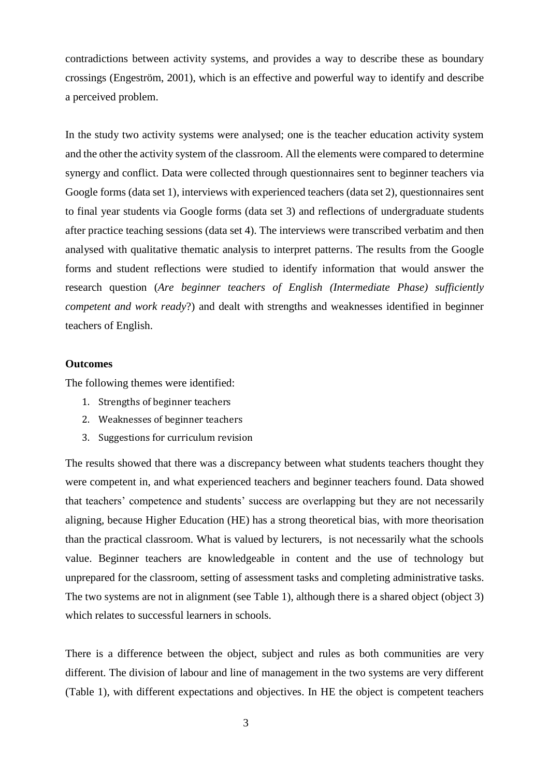contradictions between activity systems, and provides a way to describe these as boundary crossings (Engeström, 2001), which is an effective and powerful way to identify and describe a perceived problem.

In the study two activity systems were analysed; one is the teacher education activity system and the other the activity system of the classroom. All the elements were compared to determine synergy and conflict. Data were collected through questionnaires sent to beginner teachers via Google forms (data set 1), interviews with experienced teachers (data set 2), questionnaires sent to final year students via Google forms (data set 3) and reflections of undergraduate students after practice teaching sessions (data set 4). The interviews were transcribed verbatim and then analysed with qualitative thematic analysis to interpret patterns. The results from the Google forms and student reflections were studied to identify information that would answer the research question (*Are beginner teachers of English (Intermediate Phase) sufficiently competent and work ready*?) and dealt with strengths and weaknesses identified in beginner teachers of English.

#### **Outcomes**

The following themes were identified:

- 1. Strengths of beginner teachers
- 2. Weaknesses of beginner teachers
- 3. Suggestions for curriculum revision

The results showed that there was a discrepancy between what students teachers thought they were competent in, and what experienced teachers and beginner teachers found. Data showed that teachers' competence and students' success are overlapping but they are not necessarily aligning, because Higher Education (HE) has a strong theoretical bias, with more theorisation than the practical classroom. What is valued by lecturers, is not necessarily what the schools value. Beginner teachers are knowledgeable in content and the use of technology but unprepared for the classroom, setting of assessment tasks and completing administrative tasks. The two systems are not in alignment (see Table 1), although there is a shared object (object 3) which relates to successful learners in schools.

There is a difference between the object, subject and rules as both communities are very different. The division of labour and line of management in the two systems are very different (Table 1), with different expectations and objectives. In HE the object is competent teachers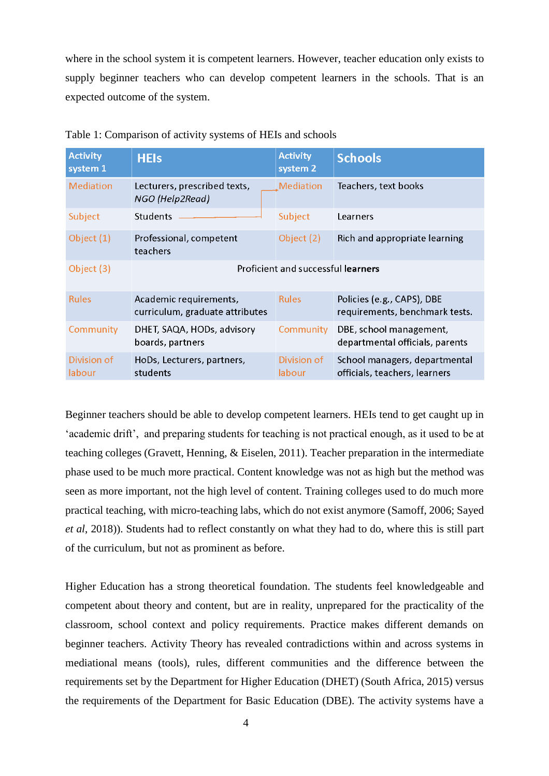where in the school system it is competent learners. However, teacher education only exists to supply beginner teachers who can develop competent learners in the schools. That is an expected outcome of the system.

| <b>Activity</b><br>system <sub>1</sub> | <b>HEIs</b>                                               | <b>Activity</b><br>system 2 | <b>Schools</b>                                                 |
|----------------------------------------|-----------------------------------------------------------|-----------------------------|----------------------------------------------------------------|
| <b>Mediation</b>                       | Lecturers, prescribed texts,<br>NGO (Help2Read)           | Mediation                   | Teachers, text books                                           |
| Subject                                | Students                                                  | Subject                     | Learners                                                       |
| Object $(1)$                           | Professional, competent<br>teachers                       | Object (2)                  | Rich and appropriate learning                                  |
| Object $(3)$                           | Proficient and successful learners                        |                             |                                                                |
| <b>Rules</b>                           | Academic requirements,<br>curriculum, graduate attributes | <b>Rules</b>                | Policies (e.g., CAPS), DBE<br>requirements, benchmark tests.   |
| Community                              | DHET, SAQA, HODs, advisory<br>boards, partners            | Community                   | DBE, school management,<br>departmental officials, parents     |
| Division of<br>labour                  | HoDs, Lecturers, partners,<br>students                    | Division of<br>labour       | School managers, departmental<br>officials, teachers, learners |

Beginner teachers should be able to develop competent learners. HEIs tend to get caught up in 'academic drift', and preparing students for teaching is not practical enough, as it used to be at teaching colleges (Gravett, Henning, & Eiselen, 2011). Teacher preparation in the intermediate phase used to be much more practical. Content knowledge was not as high but the method was seen as more important, not the high level of content. Training colleges used to do much more practical teaching, with micro-teaching labs, which do not exist anymore (Samoff, 2006; Sayed *et al*, 2018)). Students had to reflect constantly on what they had to do, where this is still part of the curriculum, but not as prominent as before.

Higher Education has a strong theoretical foundation. The students feel knowledgeable and competent about theory and content, but are in reality, unprepared for the practicality of the classroom, school context and policy requirements. Practice makes different demands on beginner teachers. Activity Theory has revealed contradictions within and across systems in mediational means (tools), rules, different communities and the difference between the requirements set by the Department for Higher Education (DHET) (South Africa, 2015) versus the requirements of the Department for Basic Education (DBE). The activity systems have a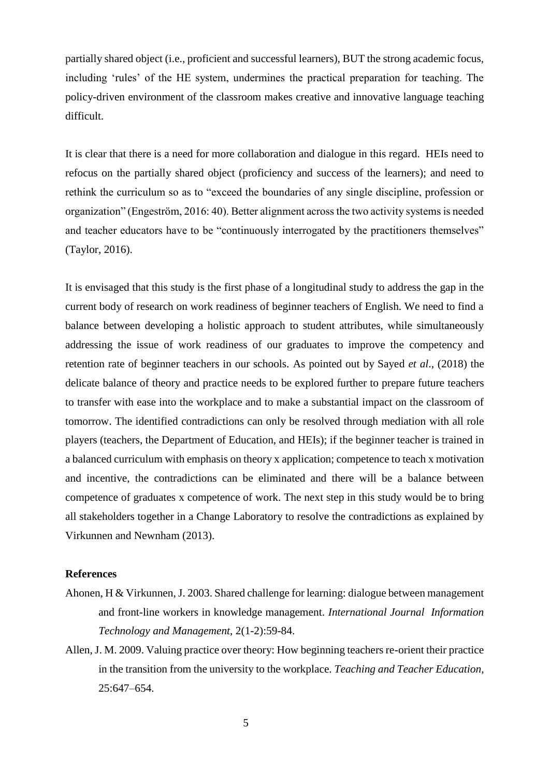partially shared object (i.e., proficient and successful learners), BUT the strong academic focus, including 'rules' of the HE system, undermines the practical preparation for teaching. The policy-driven environment of the classroom makes creative and innovative language teaching difficult.

It is clear that there is a need for more collaboration and dialogue in this regard. HEIs need to refocus on the partially shared object (proficiency and success of the learners); and need to rethink the curriculum so as to "exceed the boundaries of any single discipline, profession or organization" (Engeström, 2016: 40). Better alignment across the two activity systems is needed and teacher educators have to be "continuously interrogated by the practitioners themselves" (Taylor, 2016).

It is envisaged that this study is the first phase of a longitudinal study to address the gap in the current body of research on work readiness of beginner teachers of English. We need to find a balance between developing a holistic approach to student attributes, while simultaneously addressing the issue of work readiness of our graduates to improve the competency and retention rate of beginner teachers in our schools. As pointed out by Sayed *et al*., (2018) the delicate balance of theory and practice needs to be explored further to prepare future teachers to transfer with ease into the workplace and to make a substantial impact on the classroom of tomorrow. The identified contradictions can only be resolved through mediation with all role players (teachers, the Department of Education, and HEIs); if the beginner teacher is trained in a balanced curriculum with emphasis on theory x application; competence to teach x motivation and incentive, the contradictions can be eliminated and there will be a balance between competence of graduates x competence of work. The next step in this study would be to bring all stakeholders together in a Change Laboratory to resolve the contradictions as explained by Virkunnen and Newnham (2013).

### **References**

- Ahonen, H & Virkunnen, J. 2003. Shared challenge for learning: dialogue between management and front-line workers in knowledge management. *International Journal Information Technology and Management,* 2(1-2):59-84.
- Allen, J. M. 2009. Valuing practice over theory: How beginning teachers re-orient their practice in the transition from the university to the workplace. *Teaching and Teacher Education,* 25:647–654.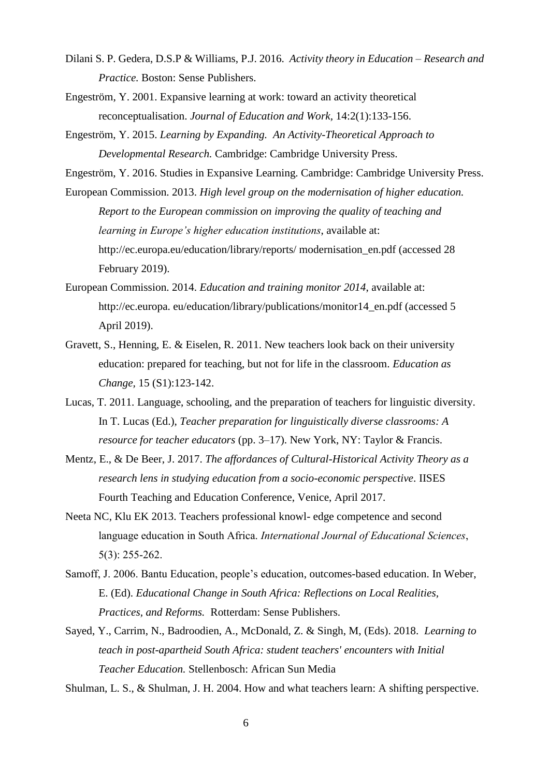- Dilani S. P. Gedera, D.S.P & Williams, P.J. 2016. *Activity theory in Education – Research and Practice.* Boston: Sense Publishers.
- Engeström, Y. 2001. Expansive learning at work: toward an activity theoretical reconceptualisation. *Journal of Education and Work,* 14:2(1):133-156.
- Engeström, Y. 2015. *Learning by Expanding. An Activity-Theoretical Approach to Developmental Research.* Cambridge: Cambridge University Press.

Engeström, Y. 2016. Studies in Expansive Learning. Cambridge: Cambridge University Press.

European Commission. 2013. *High level group on the modernisation of higher education. Report to the European commission on improving the quality of teaching and learning in Europe's higher education institutions*, available at: http://ec.europa.eu/education/library/reports/ modernisation\_en.pdf (accessed 28 February 2019).

- European Commission. 2014. *Education and training monitor 2014*, available at: http://ec.europa. eu/education/library/publications/monitor14\_en.pdf (accessed 5 April 2019).
- Gravett, S., Henning, E. & Eiselen, R. 2011. New teachers look back on their university education: prepared for teaching, but not for life in the classroom. *Education as Change,* 15 (S1):123-142.
- Lucas, T. 2011. Language, schooling, and the preparation of teachers for linguistic diversity. In T. Lucas (Ed.), *Teacher preparation for linguistically diverse classrooms: A resource for teacher educators* (pp. 3–17). New York, NY: Taylor & Francis.
- Mentz, E., & De Beer, J. 2017. *The affordances of Cultural-Historical Activity Theory as a research lens in studying education from a socio-economic perspective*. IISES Fourth Teaching and Education Conference, Venice, April 2017.
- Neeta NC, Klu EK 2013. Teachers professional knowl- edge competence and second language education in South Africa. *International Journal of Educational Sciences*, 5(3): 255-262.
- Samoff, J. 2006. Bantu Education, people's education, outcomes-based education. In Weber, E. (Ed). *Educational Change in South Africa: Reflections on Local Realities, Practices, and Reforms.* Rotterdam: Sense Publishers.
- Sayed, Y., Carrim, N., Badroodien, A., McDonald, Z. & Singh, M, (Eds). 2018. *Learning to teach in post-apartheid South Africa: student teachers' encounters with Initial Teacher Education.* Stellenbosch: African Sun Media

Shulman, L. S., & Shulman, J. H. 2004. How and what teachers learn: A shifting perspective.